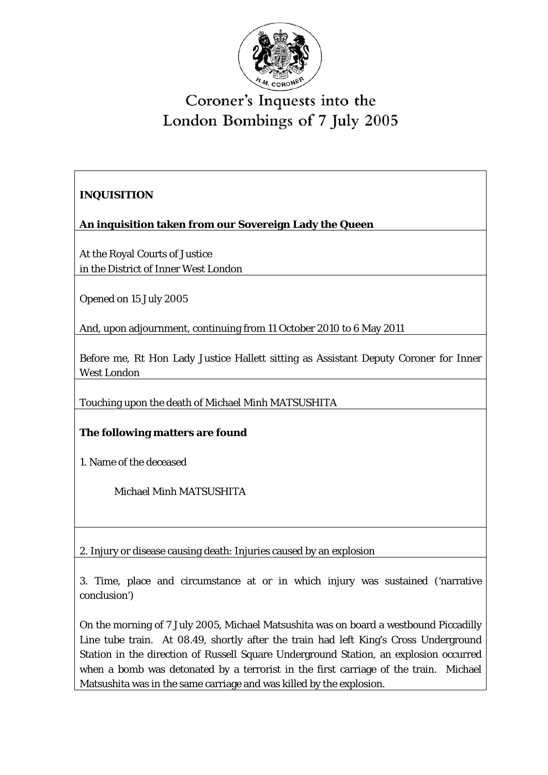

## Coroner's Inquests into the London Bombings of 7 July 2005

## **INQUISITION**

**An inquisition taken from our Sovereign Lady the Queen** 

At the Royal Courts of Justice in the District of Inner West London

Opened on 15 July 2005

And, upon adjournment, continuing from 11 October 2010 to 6 May 2011

Before me, Rt Hon Lady Justice Hallett sitting as Assistant Deputy Coroner for Inner West London

Touching upon the death of Michael Minh MATSUSHITA

## **The following matters are found**

1. Name of the deceased

Michael Minh MATSUSHITA

2. Injury or disease causing death: Injuries caused by an explosion

3. Time, place and circumstance at or in which injury was sustained ('narrative conclusion')

On the morning of 7 July 2005, Michael Matsushita was on board a westbound Piccadilly Line tube train. At 08.49, shortly after the train had left King's Cross Underground Station in the direction of Russell Square Underground Station, an explosion occurred when a bomb was detonated by a terrorist in the first carriage of the train. Michael Matsushita was in the same carriage and was killed by the explosion.